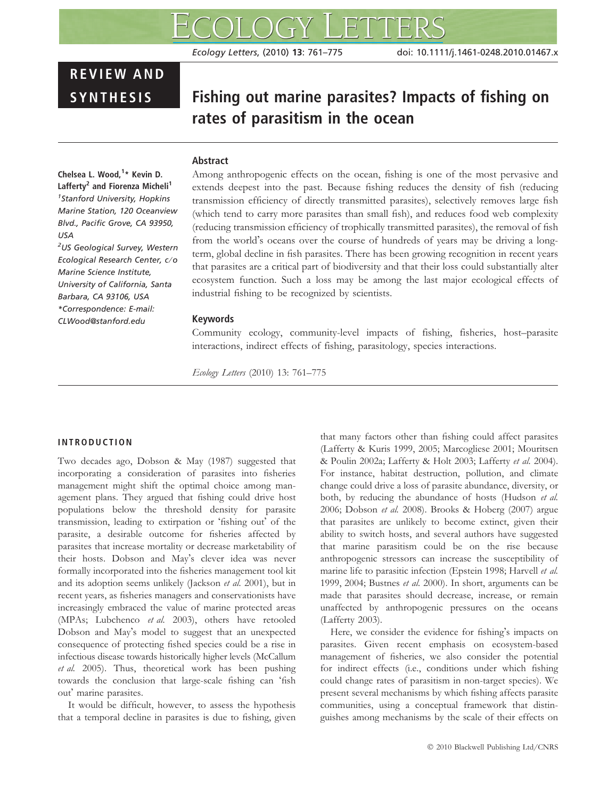# REVIEW AND

# SYNTHESIS Fishing out marine parasites? Impacts of fishing on rates of parasitism in the ocean

# Abstract

Chelsea L. Wood,<sup>1</sup>\* Kevin D. Lafferty<sup>2</sup> and Fiorenza Micheli<sup>1</sup> 1 Stanford University, Hopkins Marine Station, 120 Oceanview Blvd., Pacific Grove, CA 93950, USA

<sup>2</sup>US Geological Survey, Western Ecological Research Center, c/o Marine Science Institute, University of California, Santa Barbara, CA 93106, USA \*Correspondence: E-mail: CLWood@stanford.edu

Among anthropogenic effects on the ocean, fishing is one of the most pervasive and extends deepest into the past. Because fishing reduces the density of fish (reducing transmission efficiency of directly transmitted parasites), selectively removes large fish (which tend to carry more parasites than small fish), and reduces food web complexity (reducing transmission efficiency of trophically transmitted parasites), the removal of fish from the world's oceans over the course of hundreds of years may be driving a longterm, global decline in fish parasites. There has been growing recognition in recent years that parasites are a critical part of biodiversity and that their loss could substantially alter ecosystem function. Such a loss may be among the last major ecological effects of industrial fishing to be recognized by scientists.

# Keywords

Community ecology, community-level impacts of fishing, fisheries, host–parasite interactions, indirect effects of fishing, parasitology, species interactions.

Ecology Letters (2010) 13: 761–775

#### INTRODUCTION

Two decades ago, Dobson & May (1987) suggested that incorporating a consideration of parasites into fisheries management might shift the optimal choice among management plans. They argued that fishing could drive host populations below the threshold density for parasite transmission, leading to extirpation or 'fishing out' of the parasite, a desirable outcome for fisheries affected by parasites that increase mortality or decrease marketability of their hosts. Dobson and May's clever idea was never formally incorporated into the fisheries management tool kit and its adoption seems unlikely (Jackson et al. 2001), but in recent years, as fisheries managers and conservationists have increasingly embraced the value of marine protected areas (MPAs; Lubchenco et al. 2003), others have retooled Dobson and May's model to suggest that an unexpected consequence of protecting fished species could be a rise in infectious disease towards historically higher levels (McCallum et al. 2005). Thus, theoretical work has been pushing towards the conclusion that large-scale fishing can 'fish out' marine parasites.

It would be difficult, however, to assess the hypothesis that a temporal decline in parasites is due to fishing, given that many factors other than fishing could affect parasites (Lafferty & Kuris 1999, 2005; Marcogliese 2001; Mouritsen & Poulin 2002a; Lafferty & Holt 2003; Lafferty et al. 2004). For instance, habitat destruction, pollution, and climate change could drive a loss of parasite abundance, diversity, or both, by reducing the abundance of hosts (Hudson et al. 2006; Dobson et al. 2008). Brooks & Hoberg (2007) argue that parasites are unlikely to become extinct, given their ability to switch hosts, and several authors have suggested that marine parasitism could be on the rise because anthropogenic stressors can increase the susceptibility of marine life to parasitic infection (Epstein 1998; Harvell et al. 1999, 2004; Bustnes et al. 2000). In short, arguments can be made that parasites should decrease, increase, or remain unaffected by anthropogenic pressures on the oceans (Lafferty 2003).

Here, we consider the evidence for fishing's impacts on parasites. Given recent emphasis on ecosystem-based management of fisheries, we also consider the potential for indirect effects (i.e., conditions under which fishing could change rates of parasitism in non-target species). We present several mechanisms by which fishing affects parasite communities, using a conceptual framework that distinguishes among mechanisms by the scale of their effects on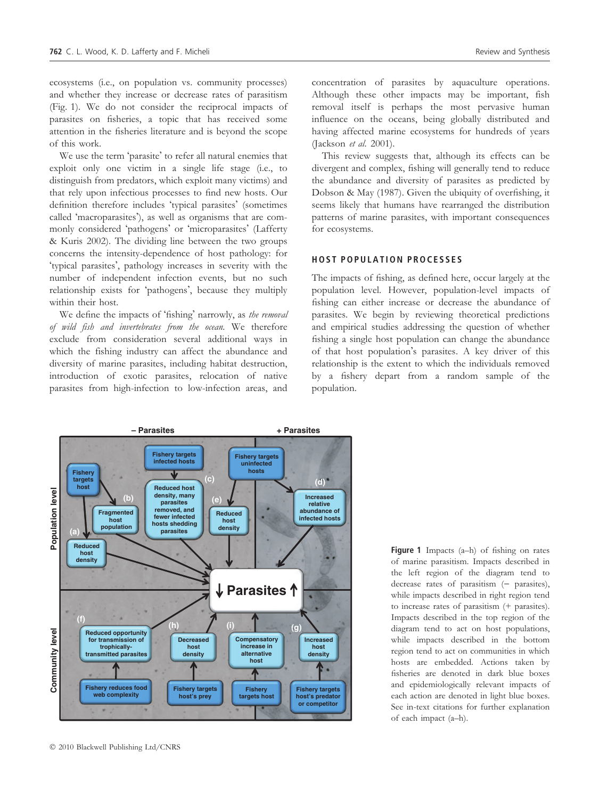ecosystems (i.e., on population vs. community processes) and whether they increase or decrease rates of parasitism (Fig. 1). We do not consider the reciprocal impacts of parasites on fisheries, a topic that has received some attention in the fisheries literature and is beyond the scope of this work.

We use the term 'parasite' to refer all natural enemies that exploit only one victim in a single life stage (i.e., to distinguish from predators, which exploit many victims) and that rely upon infectious processes to find new hosts. Our definition therefore includes 'typical parasites' (sometimes called 'macroparasites'), as well as organisms that are commonly considered 'pathogens' or 'microparasites' (Lafferty & Kuris 2002). The dividing line between the two groups concerns the intensity-dependence of host pathology: for 'typical parasites', pathology increases in severity with the number of independent infection events, but no such relationship exists for 'pathogens', because they multiply within their host.

We define the impacts of 'fishing' narrowly, as the removal of wild fish and invertebrates from the ocean. We therefore exclude from consideration several additional ways in which the fishing industry can affect the abundance and diversity of marine parasites, including habitat destruction, introduction of exotic parasites, relocation of native parasites from high-infection to low-infection areas, and concentration of parasites by aquaculture operations. Although these other impacts may be important, fish removal itself is perhaps the most pervasive human influence on the oceans, being globally distributed and having affected marine ecosystems for hundreds of years (Jackson et al. 2001).

This review suggests that, although its effects can be divergent and complex, fishing will generally tend to reduce the abundance and diversity of parasites as predicted by Dobson & May (1987). Given the ubiquity of overfishing, it seems likely that humans have rearranged the distribution patterns of marine parasites, with important consequences for ecosystems.

#### HOST POPULATION PROCESSES

The impacts of fishing, as defined here, occur largely at the population level. However, population-level impacts of fishing can either increase or decrease the abundance of parasites. We begin by reviewing theoretical predictions and empirical studies addressing the question of whether fishing a single host population can change the abundance of that host population's parasites. A key driver of this relationship is the extent to which the individuals removed by a fishery depart from a random sample of the population.



Figure 1 Impacts (a-h) of fishing on rates of marine parasitism. Impacts described in the left region of the diagram tend to decrease rates of parasitism  $(-$  parasites), while impacts described in right region tend to increase rates of parasitism (+ parasites). Impacts described in the top region of the diagram tend to act on host populations, while impacts described in the bottom region tend to act on communities in which hosts are embedded. Actions taken by fisheries are denoted in dark blue boxes and epidemiologically relevant impacts of each action are denoted in light blue boxes. See in-text citations for further explanation of each impact (a–h).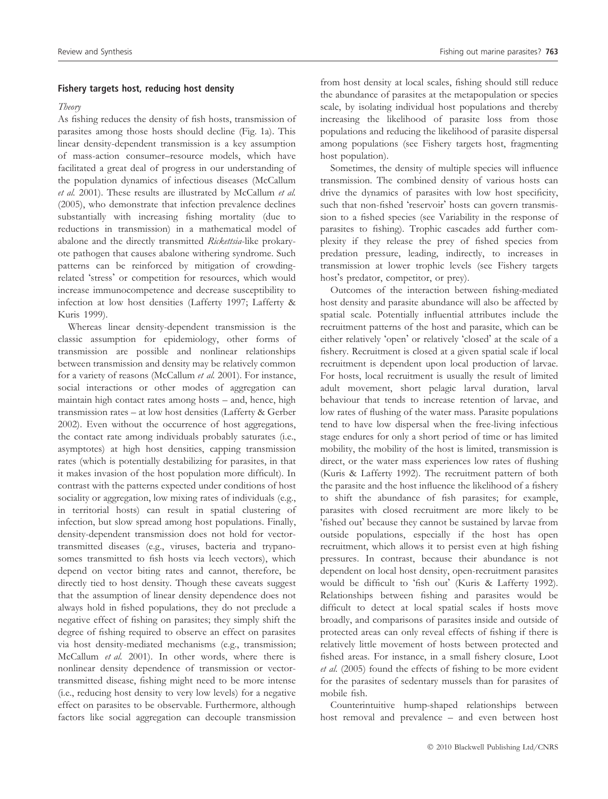#### Fishery targets host, reducing host density

#### Theory

As fishing reduces the density of fish hosts, transmission of parasites among those hosts should decline (Fig. 1a). This linear density-dependent transmission is a key assumption of mass-action consumer–resource models, which have facilitated a great deal of progress in our understanding of the population dynamics of infectious diseases (McCallum et al. 2001). These results are illustrated by McCallum et al. (2005), who demonstrate that infection prevalence declines substantially with increasing fishing mortality (due to reductions in transmission) in a mathematical model of abalone and the directly transmitted Rickettsia-like prokaryote pathogen that causes abalone withering syndrome. Such patterns can be reinforced by mitigation of crowdingrelated 'stress' or competition for resources, which would increase immunocompetence and decrease susceptibility to infection at low host densities (Lafferty 1997; Lafferty & Kuris 1999).

Whereas linear density-dependent transmission is the classic assumption for epidemiology, other forms of transmission are possible and nonlinear relationships between transmission and density may be relatively common for a variety of reasons (McCallum et al. 2001). For instance, social interactions or other modes of aggregation can maintain high contact rates among hosts – and, hence, high transmission rates – at low host densities (Lafferty & Gerber 2002). Even without the occurrence of host aggregations, the contact rate among individuals probably saturates (i.e., asymptotes) at high host densities, capping transmission rates (which is potentially destabilizing for parasites, in that it makes invasion of the host population more difficult). In contrast with the patterns expected under conditions of host sociality or aggregation, low mixing rates of individuals (e.g., in territorial hosts) can result in spatial clustering of infection, but slow spread among host populations. Finally, density-dependent transmission does not hold for vectortransmitted diseases (e.g., viruses, bacteria and trypanosomes transmitted to fish hosts via leech vectors), which depend on vector biting rates and cannot, therefore, be directly tied to host density. Though these caveats suggest that the assumption of linear density dependence does not always hold in fished populations, they do not preclude a negative effect of fishing on parasites; they simply shift the degree of fishing required to observe an effect on parasites via host density-mediated mechanisms (e.g., transmission; McCallum et al. 2001). In other words, where there is nonlinear density dependence of transmission or vectortransmitted disease, fishing might need to be more intense (i.e., reducing host density to very low levels) for a negative effect on parasites to be observable. Furthermore, although factors like social aggregation can decouple transmission from host density at local scales, fishing should still reduce the abundance of parasites at the metapopulation or species scale, by isolating individual host populations and thereby increasing the likelihood of parasite loss from those populations and reducing the likelihood of parasite dispersal among populations (see Fishery targets host, fragmenting host population).

Sometimes, the density of multiple species will influence transmission. The combined density of various hosts can drive the dynamics of parasites with low host specificity, such that non-fished 'reservoir' hosts can govern transmission to a fished species (see Variability in the response of parasites to fishing). Trophic cascades add further complexity if they release the prey of fished species from predation pressure, leading, indirectly, to increases in transmission at lower trophic levels (see Fishery targets host's predator, competitor, or prey).

Outcomes of the interaction between fishing-mediated host density and parasite abundance will also be affected by spatial scale. Potentially influential attributes include the recruitment patterns of the host and parasite, which can be either relatively 'open' or relatively 'closed' at the scale of a fishery. Recruitment is closed at a given spatial scale if local recruitment is dependent upon local production of larvae. For hosts, local recruitment is usually the result of limited adult movement, short pelagic larval duration, larval behaviour that tends to increase retention of larvae, and low rates of flushing of the water mass. Parasite populations tend to have low dispersal when the free-living infectious stage endures for only a short period of time or has limited mobility, the mobility of the host is limited, transmission is direct, or the water mass experiences low rates of flushing (Kuris & Lafferty 1992). The recruitment pattern of both the parasite and the host influence the likelihood of a fishery to shift the abundance of fish parasites; for example, parasites with closed recruitment are more likely to be 'fished out' because they cannot be sustained by larvae from outside populations, especially if the host has open recruitment, which allows it to persist even at high fishing pressures. In contrast, because their abundance is not dependent on local host density, open-recruitment parasites would be difficult to 'fish out' (Kuris & Lafferty 1992). Relationships between fishing and parasites would be difficult to detect at local spatial scales if hosts move broadly, and comparisons of parasites inside and outside of protected areas can only reveal effects of fishing if there is relatively little movement of hosts between protected and fished areas. For instance, in a small fishery closure, Loot et al. (2005) found the effects of fishing to be more evident for the parasites of sedentary mussels than for parasites of mobile fish.

Counterintuitive hump-shaped relationships between host removal and prevalence – and even between host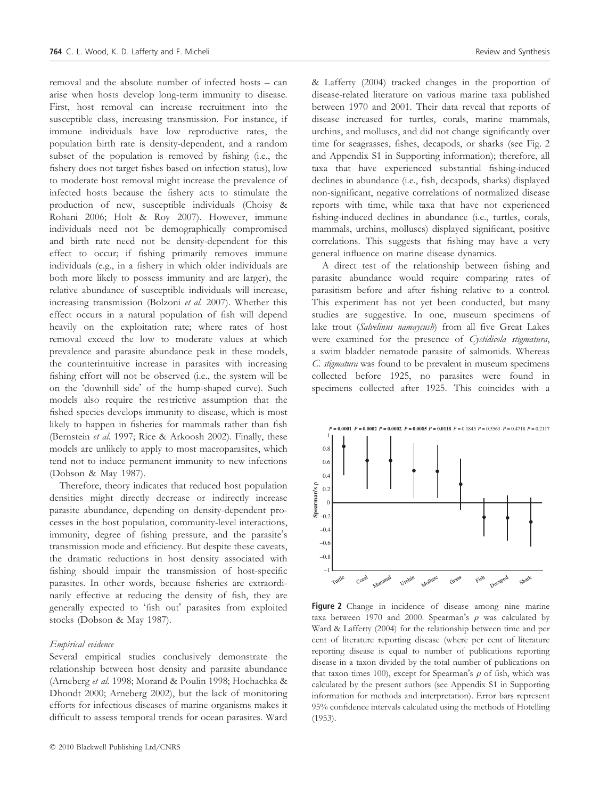removal and the absolute number of infected hosts – can arise when hosts develop long-term immunity to disease. First, host removal can increase recruitment into the susceptible class, increasing transmission. For instance, if immune individuals have low reproductive rates, the population birth rate is density-dependent, and a random subset of the population is removed by fishing (i.e., the fishery does not target fishes based on infection status), low to moderate host removal might increase the prevalence of infected hosts because the fishery acts to stimulate the production of new, susceptible individuals (Choisy & Rohani 2006; Holt & Roy 2007). However, immune individuals need not be demographically compromised and birth rate need not be density-dependent for this effect to occur; if fishing primarily removes immune individuals (e.g., in a fishery in which older individuals are both more likely to possess immunity and are larger), the relative abundance of susceptible individuals will increase, increasing transmission (Bolzoni et al. 2007). Whether this effect occurs in a natural population of fish will depend heavily on the exploitation rate; where rates of host removal exceed the low to moderate values at which prevalence and parasite abundance peak in these models, the counterintuitive increase in parasites with increasing fishing effort will not be observed (i.e., the system will be on the 'downhill side' of the hump-shaped curve). Such models also require the restrictive assumption that the fished species develops immunity to disease, which is most likely to happen in fisheries for mammals rather than fish (Bernstein et al. 1997; Rice & Arkoosh 2002). Finally, these models are unlikely to apply to most macroparasites, which tend not to induce permanent immunity to new infections (Dobson & May 1987).

Therefore, theory indicates that reduced host population densities might directly decrease or indirectly increase parasite abundance, depending on density-dependent processes in the host population, community-level interactions, immunity, degree of fishing pressure, and the parasite's transmission mode and efficiency. But despite these caveats, the dramatic reductions in host density associated with fishing should impair the transmission of host-specific parasites. In other words, because fisheries are extraordinarily effective at reducing the density of fish, they are generally expected to 'fish out' parasites from exploited stocks (Dobson & May 1987).

#### Empirical evidence

Several empirical studies conclusively demonstrate the relationship between host density and parasite abundance (Arneberg et al. 1998; Morand & Poulin 1998; Hochachka & Dhondt 2000; Arneberg 2002), but the lack of monitoring efforts for infectious diseases of marine organisms makes it difficult to assess temporal trends for ocean parasites. Ward

& Lafferty (2004) tracked changes in the proportion of disease-related literature on various marine taxa published between 1970 and 2001. Their data reveal that reports of disease increased for turtles, corals, marine mammals, urchins, and molluscs, and did not change significantly over time for seagrasses, fishes, decapods, or sharks (see Fig. 2 and Appendix S1 in Supporting information); therefore, all taxa that have experienced substantial fishing-induced declines in abundance (i.e., fish, decapods, sharks) displayed non-significant, negative correlations of normalized disease reports with time, while taxa that have not experienced fishing-induced declines in abundance (i.e., turtles, corals, mammals, urchins, molluscs) displayed significant, positive correlations. This suggests that fishing may have a very general influence on marine disease dynamics.

A direct test of the relationship between fishing and parasite abundance would require comparing rates of parasitism before and after fishing relative to a control. This experiment has not yet been conducted, but many studies are suggestive. In one, museum specimens of lake trout (Salvelinus namaycush) from all five Great Lakes were examined for the presence of Cystidicola stigmatura, a swim bladder nematode parasite of salmonids. Whereas C. stigmatura was found to be prevalent in museum specimens collected before 1925, no parasites were found in specimens collected after 1925. This coincides with a



Figure 2 Change in incidence of disease among nine marine taxa between 1970 and 2000. Spearman's  $\rho$  was calculated by Ward & Lafferty (2004) for the relationship between time and per cent of literature reporting disease (where per cent of literature reporting disease is equal to number of publications reporting disease in a taxon divided by the total number of publications on that taxon times 100), except for Spearman's  $\rho$  of fish, which was calculated by the present authors (see Appendix S1 in Supporting information for methods and interpretation). Error bars represent 95% confidence intervals calculated using the methods of Hotelling (1953).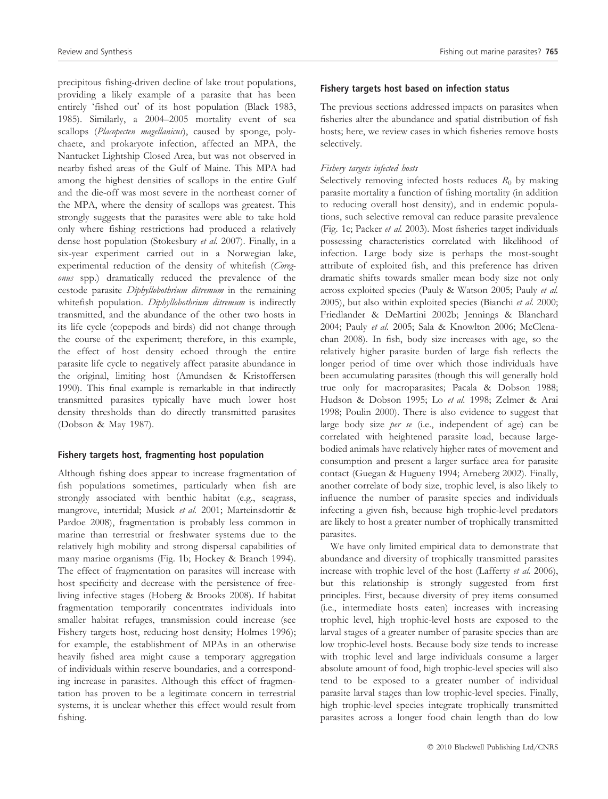precipitous fishing-driven decline of lake trout populations, providing a likely example of a parasite that has been entirely 'fished out' of its host population (Black 1983, 1985). Similarly, a 2004–2005 mortality event of sea scallops (Placopecten magellanicus), caused by sponge, polychaete, and prokaryote infection, affected an MPA, the Nantucket Lightship Closed Area, but was not observed in nearby fished areas of the Gulf of Maine. This MPA had among the highest densities of scallops in the entire Gulf and the die-off was most severe in the northeast corner of the MPA, where the density of scallops was greatest. This strongly suggests that the parasites were able to take hold only where fishing restrictions had produced a relatively dense host population (Stokesbury et al. 2007). Finally, in a six-year experiment carried out in a Norwegian lake, experimental reduction of the density of whitefish (Coregonus spp.) dramatically reduced the prevalence of the cestode parasite Diphyllobothrium ditremum in the remaining whitefish population. Diphyllobothrium ditremum is indirectly transmitted, and the abundance of the other two hosts in its life cycle (copepods and birds) did not change through the course of the experiment; therefore, in this example, the effect of host density echoed through the entire parasite life cycle to negatively affect parasite abundance in the original, limiting host (Amundsen & Kristoffersen 1990). This final example is remarkable in that indirectly transmitted parasites typically have much lower host density thresholds than do directly transmitted parasites (Dobson & May 1987).

#### Fishery targets host, fragmenting host population

Although fishing does appear to increase fragmentation of fish populations sometimes, particularly when fish are strongly associated with benthic habitat (e.g., seagrass, mangrove, intertidal; Musick et al. 2001; Marteinsdottir & Pardoe 2008), fragmentation is probably less common in marine than terrestrial or freshwater systems due to the relatively high mobility and strong dispersal capabilities of many marine organisms (Fig. 1b; Hockey & Branch 1994). The effect of fragmentation on parasites will increase with host specificity and decrease with the persistence of freeliving infective stages (Hoberg & Brooks 2008). If habitat fragmentation temporarily concentrates individuals into smaller habitat refuges, transmission could increase (see Fishery targets host, reducing host density; Holmes 1996); for example, the establishment of MPAs in an otherwise heavily fished area might cause a temporary aggregation of individuals within reserve boundaries, and a corresponding increase in parasites. Although this effect of fragmentation has proven to be a legitimate concern in terrestrial systems, it is unclear whether this effect would result from fishing.

# Fishery targets host based on infection status

The previous sections addressed impacts on parasites when fisheries alter the abundance and spatial distribution of fish hosts; here, we review cases in which fisheries remove hosts selectively.

# Fishery targets infected hosts

Selectively removing infected hosts reduces  $R_0$  by making parasite mortality a function of fishing mortality (in addition to reducing overall host density), and in endemic populations, such selective removal can reduce parasite prevalence (Fig. 1c; Packer et al. 2003). Most fisheries target individuals possessing characteristics correlated with likelihood of infection. Large body size is perhaps the most-sought attribute of exploited fish, and this preference has driven dramatic shifts towards smaller mean body size not only across exploited species (Pauly & Watson 2005; Pauly et al. 2005), but also within exploited species (Bianchi et al. 2000; Friedlander & DeMartini 2002b; Jennings & Blanchard 2004; Pauly et al. 2005; Sala & Knowlton 2006; McClenachan 2008). In fish, body size increases with age, so the relatively higher parasite burden of large fish reflects the longer period of time over which those individuals have been accumulating parasites (though this will generally hold true only for macroparasites; Pacala & Dobson 1988; Hudson & Dobson 1995; Lo et al. 1998; Zelmer & Arai 1998; Poulin 2000). There is also evidence to suggest that large body size per se (i.e., independent of age) can be correlated with heightened parasite load, because largebodied animals have relatively higher rates of movement and consumption and present a larger surface area for parasite contact (Guegan & Hugueny 1994; Arneberg 2002). Finally, another correlate of body size, trophic level, is also likely to influence the number of parasite species and individuals infecting a given fish, because high trophic-level predators are likely to host a greater number of trophically transmitted parasites.

We have only limited empirical data to demonstrate that abundance and diversity of trophically transmitted parasites increase with trophic level of the host (Lafferty et al. 2006), but this relationship is strongly suggested from first principles. First, because diversity of prey items consumed (i.e., intermediate hosts eaten) increases with increasing trophic level, high trophic-level hosts are exposed to the larval stages of a greater number of parasite species than are low trophic-level hosts. Because body size tends to increase with trophic level and large individuals consume a larger absolute amount of food, high trophic-level species will also tend to be exposed to a greater number of individual parasite larval stages than low trophic-level species. Finally, high trophic-level species integrate trophically transmitted parasites across a longer food chain length than do low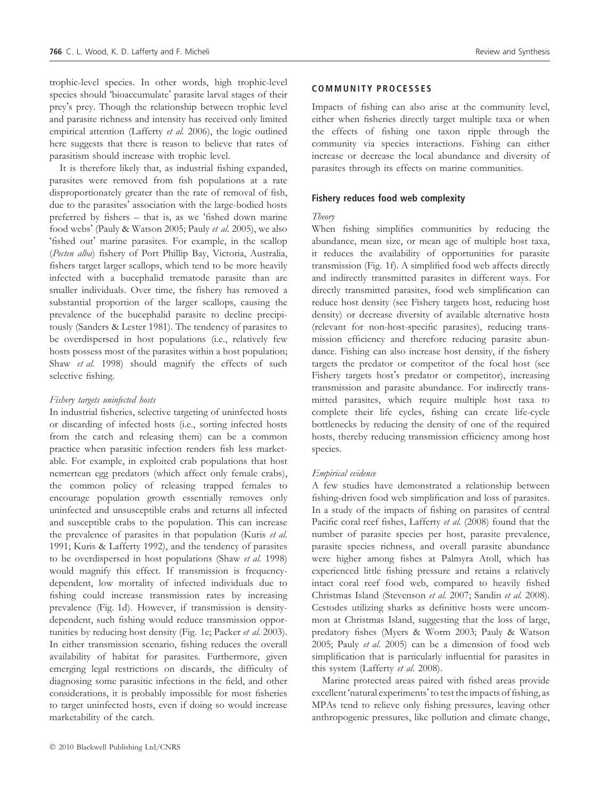trophic-level species. In other words, high trophic-level species should 'bioaccumulate' parasite larval stages of their prey's prey. Though the relationship between trophic level and parasite richness and intensity has received only limited empirical attention (Lafferty et al. 2006), the logic outlined here suggests that there is reason to believe that rates of parasitism should increase with trophic level.

It is therefore likely that, as industrial fishing expanded, parasites were removed from fish populations at a rate disproportionately greater than the rate of removal of fish, due to the parasites' association with the large-bodied hosts preferred by fishers – that is, as we fished down marine food webs' (Pauly & Watson 2005; Pauly et al. 2005), we also 'fished out' marine parasites. For example, in the scallop (Pecten alba) fishery of Port Phillip Bay, Victoria, Australia, fishers target larger scallops, which tend to be more heavily infected with a bucephalid trematode parasite than are smaller individuals. Over time, the fishery has removed a substantial proportion of the larger scallops, causing the prevalence of the bucephalid parasite to decline precipitously (Sanders & Lester 1981). The tendency of parasites to be overdispersed in host populations (i.e., relatively few hosts possess most of the parasites within a host population; Shaw et al. 1998) should magnify the effects of such selective fishing.

#### Fishery targets uninfected hosts

In industrial fisheries, selective targeting of uninfected hosts or discarding of infected hosts (i.e., sorting infected hosts from the catch and releasing them) can be a common practice when parasitic infection renders fish less marketable. For example, in exploited crab populations that host nemertean egg predators (which affect only female crabs), the common policy of releasing trapped females to encourage population growth essentially removes only uninfected and unsusceptible crabs and returns all infected and susceptible crabs to the population. This can increase the prevalence of parasites in that population (Kuris et al. 1991; Kuris & Lafferty 1992), and the tendency of parasites to be overdispersed in host populations (Shaw et al. 1998) would magnify this effect. If transmission is frequencydependent, low mortality of infected individuals due to fishing could increase transmission rates by increasing prevalence (Fig. 1d). However, if transmission is densitydependent, such fishing would reduce transmission opportunities by reducing host density (Fig. 1e; Packer et al. 2003). In either transmission scenario, fishing reduces the overall availability of habitat for parasites. Furthermore, given emerging legal restrictions on discards, the difficulty of diagnosing some parasitic infections in the field, and other considerations, it is probably impossible for most fisheries to target uninfected hosts, even if doing so would increase marketability of the catch.

#### COMMUNITY PROCESSES

Impacts of fishing can also arise at the community level, either when fisheries directly target multiple taxa or when the effects of fishing one taxon ripple through the community via species interactions. Fishing can either increase or decrease the local abundance and diversity of parasites through its effects on marine communities.

#### Fishery reduces food web complexity

#### Theory

When fishing simplifies communities by reducing the abundance, mean size, or mean age of multiple host taxa, it reduces the availability of opportunities for parasite transmission (Fig. 1f). A simplified food web affects directly and indirectly transmitted parasites in different ways. For directly transmitted parasites, food web simplification can reduce host density (see Fishery targets host, reducing host density) or decrease diversity of available alternative hosts (relevant for non-host-specific parasites), reducing transmission efficiency and therefore reducing parasite abundance. Fishing can also increase host density, if the fishery targets the predator or competitor of the focal host (see Fishery targets host's predator or competitor), increasing transmission and parasite abundance. For indirectly transmitted parasites, which require multiple host taxa to complete their life cycles, fishing can create life-cycle bottlenecks by reducing the density of one of the required hosts, thereby reducing transmission efficiency among host species.

#### Empirical evidence

A few studies have demonstrated a relationship between fishing-driven food web simplification and loss of parasites. In a study of the impacts of fishing on parasites of central Pacific coral reef fishes, Lafferty et al. (2008) found that the number of parasite species per host, parasite prevalence, parasite species richness, and overall parasite abundance were higher among fishes at Palmyra Atoll, which has experienced little fishing pressure and retains a relatively intact coral reef food web, compared to heavily fished Christmas Island (Stevenson et al. 2007; Sandin et al. 2008). Cestodes utilizing sharks as definitive hosts were uncommon at Christmas Island, suggesting that the loss of large, predatory fishes (Myers & Worm 2003; Pauly & Watson 2005; Pauly et al. 2005) can be a dimension of food web simplification that is particularly influential for parasites in this system (Lafferty et al. 2008).

Marine protected areas paired with fished areas provide excellent 'natural experiments' to test the impacts of fishing, as MPAs tend to relieve only fishing pressures, leaving other anthropogenic pressures, like pollution and climate change,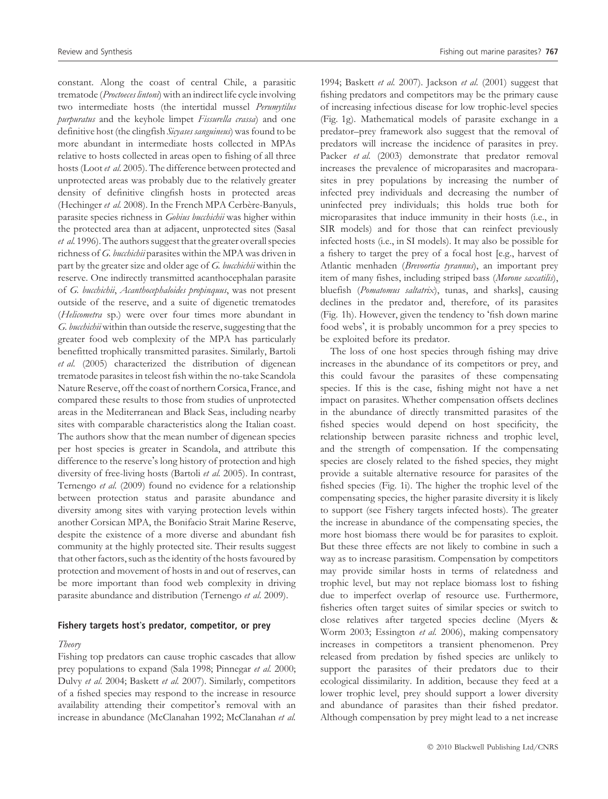constant. Along the coast of central Chile, a parasitic trematode (Proctoeces lintoni) with an indirect life cycle involving two intermediate hosts (the intertidal mussel Perumytilus purpuratus and the keyhole limpet Fissurella crassa) and one definitive host (the clingfish Sicyases sanguineus) was found to be more abundant in intermediate hosts collected in MPAs relative to hosts collected in areas open to fishing of all three hosts (Loot et al. 2005). The difference between protected and unprotected areas was probably due to the relatively greater density of definitive clingfish hosts in protected areas (Hechinger et al. 2008). In the French MPA Cerbère-Banyuls, parasite species richness in Gobius bucchichii was higher within the protected area than at adjacent, unprotected sites (Sasal et al. 1996). The authors suggest that the greater overall species richness of G. bucchichii parasites within the MPA was driven in part by the greater size and older age of G. bucchichii within the reserve. One indirectly transmitted acanthocephalan parasite of G. bucchichii, Acanthocephaloides propinquus, was not present outside of the reserve, and a suite of digenetic trematodes (Helicometra sp.) were over four times more abundant in G. bucchichii within than outside the reserve, suggesting that the greater food web complexity of the MPA has particularly benefitted trophically transmitted parasites. Similarly, Bartoli et al. (2005) characterized the distribution of digenean trematode parasites in teleost fish within the no-take Scandola Nature Reserve, off the coast of northern Corsica, France, and compared these results to those from studies of unprotected areas in the Mediterranean and Black Seas, including nearby sites with comparable characteristics along the Italian coast. The authors show that the mean number of digenean species per host species is greater in Scandola, and attribute this difference to the reserve's long history of protection and high diversity of free-living hosts (Bartoli et al. 2005). In contrast, Ternengo et al. (2009) found no evidence for a relationship between protection status and parasite abundance and diversity among sites with varying protection levels within another Corsican MPA, the Bonifacio Strait Marine Reserve, despite the existence of a more diverse and abundant fish community at the highly protected site. Their results suggest that other factors, such as the identity of the hosts favoured by protection and movement of hosts in and out of reserves, can be more important than food web complexity in driving parasite abundance and distribution (Ternengo et al. 2009).

#### Fishery targets host's predator, competitor, or prey

#### Theory

Fishing top predators can cause trophic cascades that allow prey populations to expand (Sala 1998; Pinnegar et al. 2000; Dulvy et al. 2004; Baskett et al. 2007). Similarly, competitors of a fished species may respond to the increase in resource availability attending their competitor's removal with an increase in abundance (McClanahan 1992; McClanahan et al. 1994; Baskett et al. 2007). Jackson et al. (2001) suggest that fishing predators and competitors may be the primary cause of increasing infectious disease for low trophic-level species (Fig. 1g). Mathematical models of parasite exchange in a predator–prey framework also suggest that the removal of predators will increase the incidence of parasites in prey. Packer et al. (2003) demonstrate that predator removal increases the prevalence of microparasites and macroparasites in prey populations by increasing the number of infected prey individuals and decreasing the number of uninfected prey individuals; this holds true both for microparasites that induce immunity in their hosts (i.e., in SIR models) and for those that can reinfect previously infected hosts (i.e., in SI models). It may also be possible for a fishery to target the prey of a focal host [e.g., harvest of Atlantic menhaden (Brevoortia tyrannus), an important prey item of many fishes, including striped bass (Morone saxatilis), bluefish (Pomatomus saltatrix), tunas, and sharks], causing declines in the predator and, therefore, of its parasites (Fig. 1h). However, given the tendency to 'fish down marine food webs', it is probably uncommon for a prey species to be exploited before its predator.

The loss of one host species through fishing may drive increases in the abundance of its competitors or prey, and this could favour the parasites of these compensating species. If this is the case, fishing might not have a net impact on parasites. Whether compensation offsets declines in the abundance of directly transmitted parasites of the fished species would depend on host specificity, the relationship between parasite richness and trophic level, and the strength of compensation. If the compensating species are closely related to the fished species, they might provide a suitable alternative resource for parasites of the fished species (Fig. 1i). The higher the trophic level of the compensating species, the higher parasite diversity it is likely to support (see Fishery targets infected hosts). The greater the increase in abundance of the compensating species, the more host biomass there would be for parasites to exploit. But these three effects are not likely to combine in such a way as to increase parasitism. Compensation by competitors may provide similar hosts in terms of relatedness and trophic level, but may not replace biomass lost to fishing due to imperfect overlap of resource use. Furthermore, fisheries often target suites of similar species or switch to close relatives after targeted species decline (Myers & Worm 2003; Essington et al. 2006), making compensatory increases in competitors a transient phenomenon. Prey released from predation by fished species are unlikely to support the parasites of their predators due to their ecological dissimilarity. In addition, because they feed at a lower trophic level, prey should support a lower diversity and abundance of parasites than their fished predator. Although compensation by prey might lead to a net increase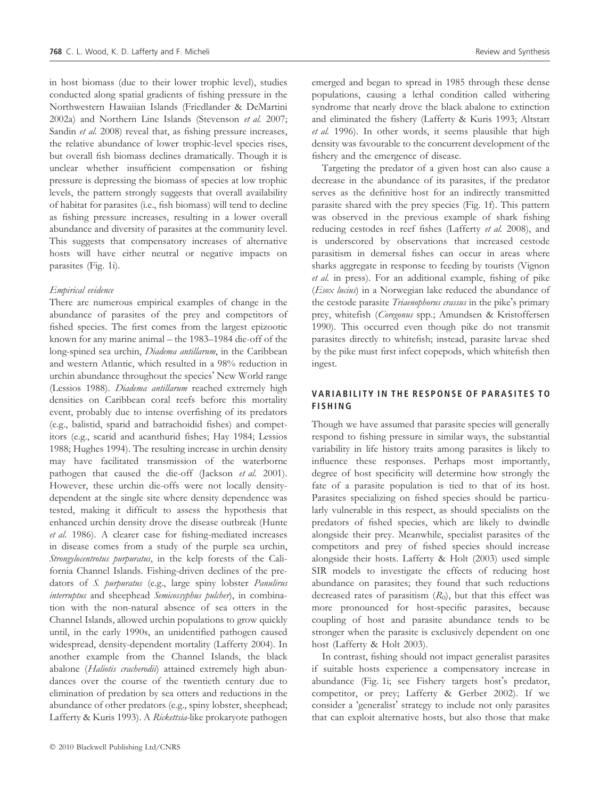in host biomass (due to their lower trophic level), studies conducted along spatial gradients of fishing pressure in the Northwestern Hawaiian Islands (Friedlander & DeMartini 2002a) and Northern Line Islands (Stevenson et al. 2007; Sandin et al. 2008) reveal that, as fishing pressure increases, the relative abundance of lower trophic-level species rises, but overall fish biomass declines dramatically. Though it is unclear whether insufficient compensation or fishing pressure is depressing the biomass of species at low trophic levels, the pattern strongly suggests that overall availability of habitat for parasites (i.e., fish biomass) will tend to decline as fishing pressure increases, resulting in a lower overall abundance and diversity of parasites at the community level. This suggests that compensatory increases of alternative hosts will have either neutral or negative impacts on parasites (Fig. 1i).

#### Empirical evidence

There are numerous empirical examples of change in the abundance of parasites of the prey and competitors of fished species. The first comes from the largest epizootic known for any marine animal – the 1983–1984 die-off of the long-spined sea urchin, Diadema antillarum, in the Caribbean and western Atlantic, which resulted in a 98% reduction in urchin abundance throughout the species' New World range (Lessios 1988). *Diadema antillarum* reached extremely high densities on Caribbean coral reefs before this mortality event, probably due to intense overfishing of its predators (e.g., balistid, sparid and batrachoidid fishes) and competitors (e.g., scarid and acanthurid fishes; Hay 1984; Lessios 1988; Hughes 1994). The resulting increase in urchin density may have facilitated transmission of the waterborne pathogen that caused the die-off (Jackson et al. 2001). However, these urchin die-offs were not locally densitydependent at the single site where density dependence was tested, making it difficult to assess the hypothesis that enhanced urchin density drove the disease outbreak (Hunte et al. 1986). A clearer case for fishing-mediated increases in disease comes from a study of the purple sea urchin, Strongylocentrotus purpuratus, in the kelp forests of the California Channel Islands. Fishing-driven declines of the predators of S. purpuratus (e.g., large spiny lobster Panulirus interruptus and sheephead Semicossyphus pulcher), in combination with the non-natural absence of sea otters in the Channel Islands, allowed urchin populations to grow quickly until, in the early 1990s, an unidentified pathogen caused widespread, density-dependent mortality (Lafferty 2004). In another example from the Channel Islands, the black abalone (Haliotis cracherodii) attained extremely high abundances over the course of the twentieth century due to elimination of predation by sea otters and reductions in the abundance of other predators (e.g., spiny lobster, sheephead; Lafferty & Kuris 1993). A Rickettsia-like prokaryote pathogen

emerged and began to spread in 1985 through these dense populations, causing a lethal condition called withering syndrome that nearly drove the black abalone to extinction and eliminated the fishery (Lafferty & Kuris 1993; Altstatt et al. 1996). In other words, it seems plausible that high density was favourable to the concurrent development of the fishery and the emergence of disease.

Targeting the predator of a given host can also cause a decrease in the abundance of its parasites, if the predator serves as the definitive host for an indirectly transmitted parasite shared with the prey species (Fig. 1f). This pattern was observed in the previous example of shark fishing reducing cestodes in reef fishes (Lafferty et al. 2008), and is underscored by observations that increased cestode parasitism in demersal fishes can occur in areas where sharks aggregate in response to feeding by tourists (Vignon et al. in press). For an additional example, fishing of pike (Esox lucius) in a Norwegian lake reduced the abundance of the cestode parasite Triaenophorus crassus in the pike's primary prey, whitefish (Coregonus spp.; Amundsen & Kristoffersen 1990). This occurred even though pike do not transmit parasites directly to whitefish; instead, parasite larvae shed by the pike must first infect copepods, which whitefish then ingest.

# VARIABILITY IN THE RESPONSE OF PARASITES TO FISHING

Though we have assumed that parasite species will generally respond to fishing pressure in similar ways, the substantial variability in life history traits among parasites is likely to influence these responses. Perhaps most importantly, degree of host specificity will determine how strongly the fate of a parasite population is tied to that of its host. Parasites specializing on fished species should be particularly vulnerable in this respect, as should specialists on the predators of fished species, which are likely to dwindle alongside their prey. Meanwhile, specialist parasites of the competitors and prey of fished species should increase alongside their hosts. Lafferty & Holt (2003) used simple SIR models to investigate the effects of reducing host abundance on parasites; they found that such reductions decreased rates of parasitism  $(R_0)$ , but that this effect was more pronounced for host-specific parasites, because coupling of host and parasite abundance tends to be stronger when the parasite is exclusively dependent on one host (Lafferty & Holt 2003).

In contrast, fishing should not impact generalist parasites if suitable hosts experience a compensatory increase in abundance (Fig. 1i; see Fishery targets host's predator, competitor, or prey; Lafferty & Gerber 2002). If we consider a 'generalist' strategy to include not only parasites that can exploit alternative hosts, but also those that make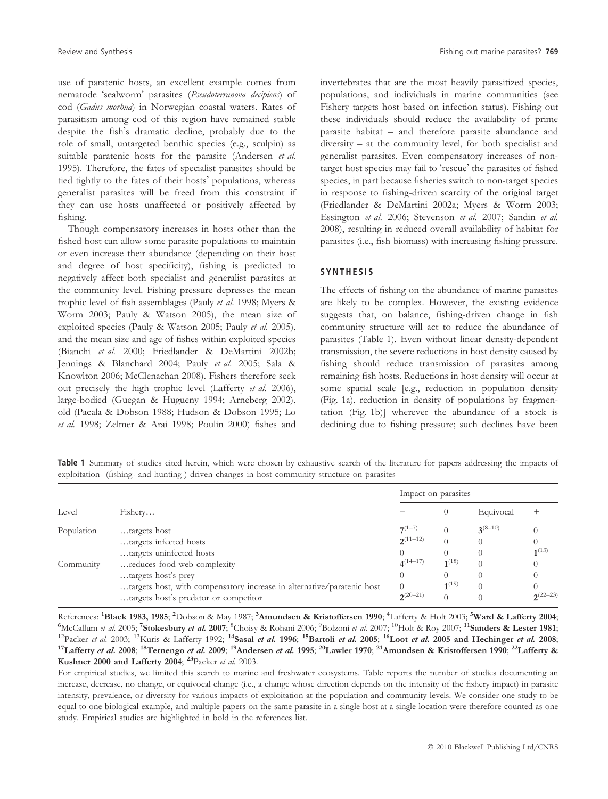use of paratenic hosts, an excellent example comes from nematode 'sealworm' parasites (Pseudoterranova decipiens) of cod (Gadus morhua) in Norwegian coastal waters. Rates of parasitism among cod of this region have remained stable despite the fish's dramatic decline, probably due to the role of small, untargeted benthic species (e.g., sculpin) as suitable paratenic hosts for the parasite (Andersen *et al.* 1995). Therefore, the fates of specialist parasites should be tied tightly to the fates of their hosts' populations, whereas generalist parasites will be freed from this constraint if they can use hosts unaffected or positively affected by fishing.

Though compensatory increases in hosts other than the fished host can allow some parasite populations to maintain or even increase their abundance (depending on their host and degree of host specificity), fishing is predicted to negatively affect both specialist and generalist parasites at the community level. Fishing pressure depresses the mean trophic level of fish assemblages (Pauly et al. 1998; Myers & Worm 2003; Pauly & Watson 2005), the mean size of exploited species (Pauly & Watson 2005; Pauly et al. 2005), and the mean size and age of fishes within exploited species (Bianchi et al. 2000; Friedlander & DeMartini 2002b; Jennings & Blanchard 2004; Pauly et al. 2005; Sala & Knowlton 2006; McClenachan 2008). Fishers therefore seek out precisely the high trophic level (Lafferty et al. 2006), large-bodied (Guegan & Hugueny 1994; Arneberg 2002), old (Pacala & Dobson 1988; Hudson & Dobson 1995; Lo et al. 1998; Zelmer & Arai 1998; Poulin 2000) fishes and invertebrates that are the most heavily parasitized species, populations, and individuals in marine communities (see Fishery targets host based on infection status). Fishing out these individuals should reduce the availability of prime parasite habitat – and therefore parasite abundance and diversity – at the community level, for both specialist and generalist parasites. Even compensatory increases of nontarget host species may fail to 'rescue' the parasites of fished species, in part because fisheries switch to non-target species in response to fishing-driven scarcity of the original target (Friedlander & DeMartini 2002a; Myers & Worm 2003; Essington et al. 2006; Stevenson et al. 2007; Sandin et al. 2008), resulting in reduced overall availability of habitat for parasites (i.e., fish biomass) with increasing fishing pressure.

# **SYNTHESIS**

The effects of fishing on the abundance of marine parasites are likely to be complex. However, the existing evidence suggests that, on balance, fishing-driven change in fish community structure will act to reduce the abundance of parasites (Table 1). Even without linear density-dependent transmission, the severe reductions in host density caused by fishing should reduce transmission of parasites among remaining fish hosts. Reductions in host density will occur at some spatial scale [e.g., reduction in population density (Fig. 1a), reduction in density of populations by fragmentation (Fig. 1b)] wherever the abundance of a stock is declining due to fishing pressure; such declines have been

Table 1 Summary of studies cited herein, which were chosen by exhaustive search of the literature for papers addressing the impacts of exploitation- (fishing- and hunting-) driven changes in host community structure on parasites

| Level      | Fishery                                                                                                         | Impact on parasites          |                 |              |               |
|------------|-----------------------------------------------------------------------------------------------------------------|------------------------------|-----------------|--------------|---------------|
|            |                                                                                                                 |                              |                 | Equivocal    |               |
| Population | targets host                                                                                                    | $7^{(1-7)}$<br>$2^{(11-12)}$ |                 | $3^{(8-10)}$ |               |
|            | targets infected hosts<br>targets uninfected hosts                                                              |                              | 0               |              | $1^{(13)}$    |
| Community  | reduces food web complexity<br>targets host's prey                                                              | $4^{(14-17)}$                | $1^{(18)}$      |              |               |
|            | targets host, with compensatory increase in alternative/paratenic host<br>targets host's predator or competitor | $\Omega$<br>$2^{(20-21)}$    | $1^{(19)}$<br>0 |              | $2^{(22-23)}$ |

References:  $^1$ Black 1983, 1985;  $^2$ Dobson & May 1987;  $^3$ Amundsen & Kristoffersen 1990;  $^4$ Lafferty & Holt 2003;  $^5$ References: 'Black 1983, 1985; 'Dobson & May 1987; 'Amundsen & Kristoffersen 1990; "Lafferty & Holt 2003; 'Ward & Lafferty 2004;<br><sup>6</sup>McCallum *et al.* 2005; <sup>7</sup>Stokesbury *et al.* 2007; <sup>8</sup>Choisy & Rohani 2006; 'Bolzoni *et* Kushner 2000 and Lafferty 2004;  $^{23}$ Packer et al. 2003.

For empirical studies, we limited this search to marine and freshwater ecosystems. Table reports the number of studies documenting an increase, decrease, no change, or equivocal change (i.e., a change whose direction depends on the intensity of the fishery impact) in parasite intensity, prevalence, or diversity for various impacts of exploitation at the population and community levels. We consider one study to be equal to one biological example, and multiple papers on the same parasite in a single host at a single location were therefore counted as one study. Empirical studies are highlighted in bold in the references list.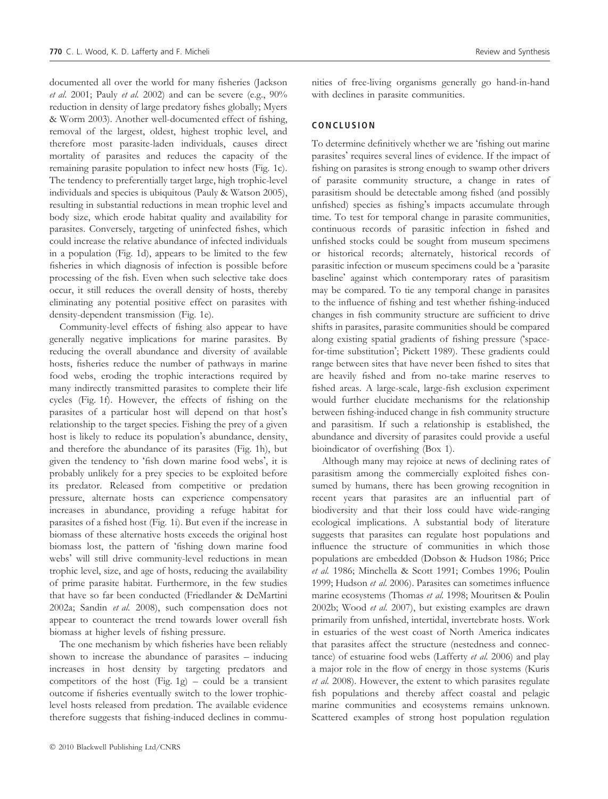documented all over the world for many fisheries (Jackson et al. 2001; Pauly et al. 2002) and can be severe (e.g.,  $90\%$ reduction in density of large predatory fishes globally; Myers & Worm 2003). Another well-documented effect of fishing, removal of the largest, oldest, highest trophic level, and therefore most parasite-laden individuals, causes direct mortality of parasites and reduces the capacity of the remaining parasite population to infect new hosts (Fig. 1c). The tendency to preferentially target large, high trophic-level individuals and species is ubiquitous (Pauly & Watson 2005), resulting in substantial reductions in mean trophic level and body size, which erode habitat quality and availability for parasites. Conversely, targeting of uninfected fishes, which could increase the relative abundance of infected individuals in a population (Fig. 1d), appears to be limited to the few fisheries in which diagnosis of infection is possible before processing of the fish. Even when such selective take does occur, it still reduces the overall density of hosts, thereby eliminating any potential positive effect on parasites with density-dependent transmission (Fig. 1e).

Community-level effects of fishing also appear to have generally negative implications for marine parasites. By reducing the overall abundance and diversity of available hosts, fisheries reduce the number of pathways in marine food webs, eroding the trophic interactions required by many indirectly transmitted parasites to complete their life cycles (Fig. 1f). However, the effects of fishing on the parasites of a particular host will depend on that host's relationship to the target species. Fishing the prey of a given host is likely to reduce its population's abundance, density, and therefore the abundance of its parasites (Fig. 1h), but given the tendency to 'fish down marine food webs', it is probably unlikely for a prey species to be exploited before its predator. Released from competitive or predation pressure, alternate hosts can experience compensatory increases in abundance, providing a refuge habitat for parasites of a fished host (Fig. 1i). But even if the increase in biomass of these alternative hosts exceeds the original host biomass lost, the pattern of fishing down marine food webs' will still drive community-level reductions in mean trophic level, size, and age of hosts, reducing the availability of prime parasite habitat. Furthermore, in the few studies that have so far been conducted (Friedlander & DeMartini 2002a; Sandin et al. 2008), such compensation does not appear to counteract the trend towards lower overall fish biomass at higher levels of fishing pressure.

The one mechanism by which fisheries have been reliably shown to increase the abundance of parasites – inducing increases in host density by targeting predators and competitors of the host (Fig. 1g) – could be a transient outcome if fisheries eventually switch to the lower trophiclevel hosts released from predation. The available evidence therefore suggests that fishing-induced declines in communities of free-living organisms generally go hand-in-hand with declines in parasite communities.

# **CONCLUSION**

To determine definitively whether we are 'fishing out marine parasites' requires several lines of evidence. If the impact of fishing on parasites is strong enough to swamp other drivers of parasite community structure, a change in rates of parasitism should be detectable among fished (and possibly unfished) species as fishing's impacts accumulate through time. To test for temporal change in parasite communities, continuous records of parasitic infection in fished and unfished stocks could be sought from museum specimens or historical records; alternately, historical records of parasitic infection or museum specimens could be a 'parasite baseline' against which contemporary rates of parasitism may be compared. To tie any temporal change in parasites to the influence of fishing and test whether fishing-induced changes in fish community structure are sufficient to drive shifts in parasites, parasite communities should be compared along existing spatial gradients of fishing pressure ('spacefor-time substitution'; Pickett 1989). These gradients could range between sites that have never been fished to sites that are heavily fished and from no-take marine reserves to fished areas. A large-scale, large-fish exclusion experiment would further elucidate mechanisms for the relationship between fishing-induced change in fish community structure and parasitism. If such a relationship is established, the abundance and diversity of parasites could provide a useful bioindicator of overfishing (Box 1).

Although many may rejoice at news of declining rates of parasitism among the commercially exploited fishes consumed by humans, there has been growing recognition in recent years that parasites are an influential part of biodiversity and that their loss could have wide-ranging ecological implications. A substantial body of literature suggests that parasites can regulate host populations and influence the structure of communities in which those populations are embedded (Dobson & Hudson 1986; Price et al. 1986; Minchella & Scott 1991; Combes 1996; Poulin 1999; Hudson et al. 2006). Parasites can sometimes influence marine ecosystems (Thomas et al. 1998; Mouritsen & Poulin 2002b; Wood et al. 2007), but existing examples are drawn primarily from unfished, intertidal, invertebrate hosts. Work in estuaries of the west coast of North America indicates that parasites affect the structure (nestedness and connectance) of estuarine food webs (Lafferty et al. 2006) and play a major role in the flow of energy in those systems (Kuris et al. 2008). However, the extent to which parasites regulate fish populations and thereby affect coastal and pelagic marine communities and ecosystems remains unknown. Scattered examples of strong host population regulation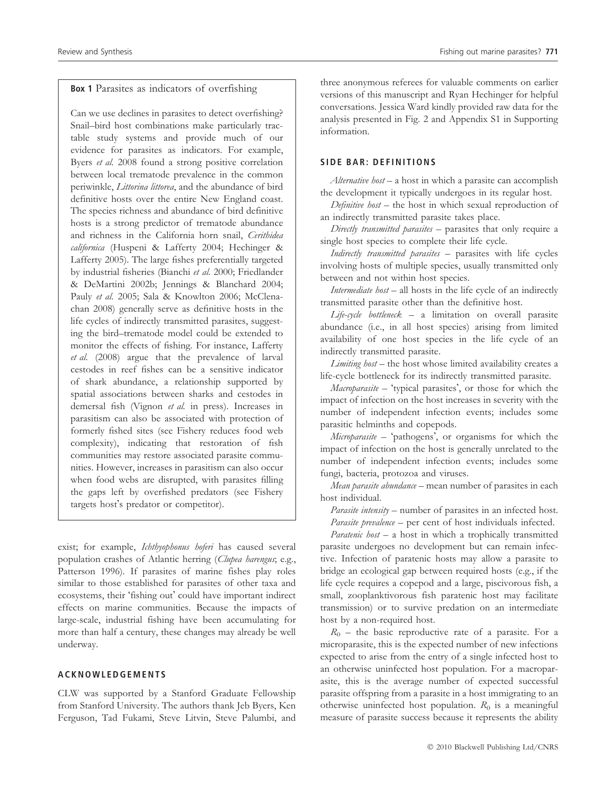# Box 1 Parasites as indicators of overfishing

Can we use declines in parasites to detect overfishing? Snail–bird host combinations make particularly tractable study systems and provide much of our evidence for parasites as indicators. For example, Byers et al. 2008 found a strong positive correlation between local trematode prevalence in the common periwinkle, Littorina littorea, and the abundance of bird definitive hosts over the entire New England coast. The species richness and abundance of bird definitive hosts is a strong predictor of trematode abundance and richness in the California horn snail, Cerithidea californica (Huspeni & Lafferty 2004; Hechinger & Lafferty 2005). The large fishes preferentially targeted by industrial fisheries (Bianchi et al. 2000; Friedlander & DeMartini 2002b; Jennings & Blanchard 2004; Pauly et al. 2005; Sala & Knowlton 2006; McClenachan 2008) generally serve as definitive hosts in the life cycles of indirectly transmitted parasites, suggesting the bird–trematode model could be extended to monitor the effects of fishing. For instance, Lafferty et al. (2008) argue that the prevalence of larval cestodes in reef fishes can be a sensitive indicator of shark abundance, a relationship supported by spatial associations between sharks and cestodes in demersal fish (Vignon et al. in press). Increases in parasitism can also be associated with protection of formerly fished sites (see Fishery reduces food web complexity), indicating that restoration of fish communities may restore associated parasite communities. However, increases in parasitism can also occur when food webs are disrupted, with parasites filling the gaps left by overfished predators (see Fishery targets host's predator or competitor).

exist; for example, *Ichthyophonus hoferi* has caused several population crashes of Atlantic herring (Clupea harengus; e.g., Patterson 1996). If parasites of marine fishes play roles similar to those established for parasites of other taxa and ecosystems, their 'fishing out' could have important indirect effects on marine communities. Because the impacts of large-scale, industrial fishing have been accumulating for more than half a century, these changes may already be well underway.

#### ACKNOWLEDGEMENTS

CLW was supported by a Stanford Graduate Fellowship from Stanford University. The authors thank Jeb Byers, Ken Ferguson, Tad Fukami, Steve Litvin, Steve Palumbi, and three anonymous referees for valuable comments on earlier versions of this manuscript and Ryan Hechinger for helpful conversations. Jessica Ward kindly provided raw data for the analysis presented in Fig. 2 and Appendix S1 in Supporting information.

# SIDE BAR: DEFINITIONS

Alternative host – a host in which a parasite can accomplish the development it typically undergoes in its regular host.

Definitive host – the host in which sexual reproduction of an indirectly transmitted parasite takes place.

Directly transmitted parasites – parasites that only require a single host species to complete their life cycle.

Indirectly transmitted parasites – parasites with life cycles involving hosts of multiple species, usually transmitted only between and not within host species.

Intermediate  $host -$  all hosts in the life cycle of an indirectly transmitted parasite other than the definitive host.

Life-cycle bottleneck – a limitation on overall parasite abundance (i.e., in all host species) arising from limited availability of one host species in the life cycle of an indirectly transmitted parasite.

Limiting host – the host whose limited availability creates a life-cycle bottleneck for its indirectly transmitted parasite.

Macroparasite – 'typical parasites', or those for which the impact of infection on the host increases in severity with the number of independent infection events; includes some parasitic helminths and copepods.

Microparasite - 'pathogens', or organisms for which the impact of infection on the host is generally unrelated to the number of independent infection events; includes some fungi, bacteria, protozoa and viruses.

Mean parasite abundance – mean number of parasites in each host individual.

Parasite intensity – number of parasites in an infected host. Parasite prevalence – per cent of host individuals infected.

Paratenic host – a host in which a trophically transmitted parasite undergoes no development but can remain infective. Infection of paratenic hosts may allow a parasite to bridge an ecological gap between required hosts (e.g., if the life cycle requires a copepod and a large, piscivorous fish, a small, zooplanktivorous fish paratenic host may facilitate transmission) or to survive predation on an intermediate host by a non-required host.

 $R_0$  – the basic reproductive rate of a parasite. For a microparasite, this is the expected number of new infections expected to arise from the entry of a single infected host to an otherwise uninfected host population. For a macroparasite, this is the average number of expected successful parasite offspring from a parasite in a host immigrating to an otherwise uninfected host population.  $R_0$  is a meaningful measure of parasite success because it represents the ability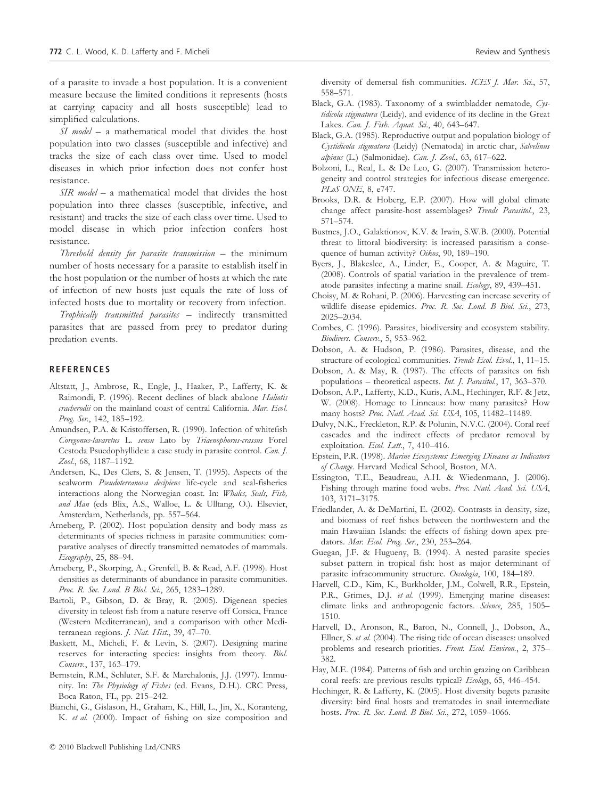of a parasite to invade a host population. It is a convenient measure because the limited conditions it represents (hosts at carrying capacity and all hosts susceptible) lead to simplified calculations.

SI model – a mathematical model that divides the host population into two classes (susceptible and infective) and tracks the size of each class over time. Used to model diseases in which prior infection does not confer host resistance.

SIR model – a mathematical model that divides the host population into three classes (susceptible, infective, and resistant) and tracks the size of each class over time. Used to model disease in which prior infection confers host resistance.

Threshold density for parasite transmission  $-$  the minimum number of hosts necessary for a parasite to establish itself in the host population or the number of hosts at which the rate of infection of new hosts just equals the rate of loss of infected hosts due to mortality or recovery from infection.

Trophically transmitted parasites – indirectly transmitted parasites that are passed from prey to predator during predation events.

#### **REFERENCES**

- Altstatt, J., Ambrose, R., Engle, J., Haaker, P., Lafferty, K. & Raimondi, P. (1996). Recent declines of black abalone Haliotis cracherodii on the mainland coast of central California. Mar. Ecol. Prog. Ser., 142, 185-192.
- Amundsen, P.A. & Kristoffersen, R. (1990). Infection of whitefish Coregonus-lavaretus L. sensu Lato by Triaenophorus-crassus Forel Cestoda Psuedophyllidea: a case study in parasite control. Can. J. Zool., 68, 1187–1192.
- Andersen, K., Des Clers, S. & Jensen, T. (1995). Aspects of the sealworm *Pseudoterranova decipiens* life-cycle and seal-fisheries interactions along the Norwegian coast. In: Whales, Seals, Fish, and Man (eds Blix, A.S., Walloe, L. & Ulltang, O.). Elsevier, Amsterdam, Netherlands, pp. 557–564.
- Arneberg, P. (2002). Host population density and body mass as determinants of species richness in parasite communities: comparative analyses of directly transmitted nematodes of mammals. Ecography, 25, 88–94.
- Arneberg, P., Skorping, A., Grenfell, B. & Read, A.F. (1998). Host densities as determinants of abundance in parasite communities. Proc. R. Soc. Lond. B Biol. Sci., 265, 1283-1289.
- Bartoli, P., Gibson, D. & Bray, R. (2005). Digenean species diversity in teleost fish from a nature reserve off Corsica, France (Western Mediterranean), and a comparison with other Mediterranean regions. J. Nat. Hist., 39, 47-70.
- Baskett, M., Micheli, F. & Levin, S. (2007). Designing marine reserves for interacting species: insights from theory. Biol. Conserv., 137, 163–179.
- Bernstein, R.M., Schluter, S.F. & Marchalonis, J.J. (1997). Immunity. In: The Physiology of Fishes (ed. Evans, D.H.). CRC Press, Boca Raton, FL, pp. 215–242.
- Bianchi, G., Gislason, H., Graham, K., Hill, L., Jin, X., Koranteng, K. et al. (2000). Impact of fishing on size composition and

diversity of demersal fish communities. ICES J. Mar. Sci., 57, 558–571.

- Black, G.A. (1983). Taxonomy of a swimbladder nematode, Cystidicola stigmatura (Leidy), and evidence of its decline in the Great Lakes. Can. J. Fish. Aquat. Sci., 40, 643–647.
- Black, G.A. (1985). Reproductive output and population biology of Cystidicola stigmatura (Leidy) (Nematoda) in arctic char, Salvelinus alpinus (L.) (Salmonidae). Can. J. Zool., 63, 617–622.
- Bolzoni, L., Real, L. & De Leo, G. (2007). Transmission heterogeneity and control strategies for infectious disease emergence. PLoS ONE, 8, e747.
- Brooks, D.R. & Hoberg, E.P. (2007). How will global climate change affect parasite-host assemblages? Trends Parasitol., 23, 571–574.
- Bustnes, J.O., Galaktionov, K.V. & Irwin, S.W.B. (2000). Potential threat to littoral biodiversity: is increased parasitism a consequence of human activity? *Oikos*, 90, 189-190.
- Byers, J., Blakeslee, A., Linder, E., Cooper, A. & Maguire, T. (2008). Controls of spatial variation in the prevalence of trematode parasites infecting a marine snail. Ecology, 89, 439–451.
- Choisy, M. & Rohani, P. (2006). Harvesting can increase severity of wildlife disease epidemics. Proc. R. Soc. Lond. B Biol. Sci., 273, 2025–2034.
- Combes, C. (1996). Parasites, biodiversity and ecosystem stability. Biodivers. Conserv., 5, 953–962.
- Dobson, A. & Hudson, P. (1986). Parasites, disease, and the structure of ecological communities. Trends Ecol. Evol., 1, 11-15.
- Dobson, A. & May, R. (1987). The effects of parasites on fish populations – theoretical aspects. Int. J. Parasitol., 17, 363–370.
- Dobson, A.P., Lafferty, K.D., Kuris, A.M., Hechinger, R.F. & Jetz, W. (2008). Homage to Linneaus: how many parasites? How many hosts? Proc. Natl. Acad. Sci. USA, 105, 11482-11489.
- Dulvy, N.K., Freckleton, R.P. & Polunin, N.V.C. (2004). Coral reef cascades and the indirect effects of predator removal by exploitation. Ecol. Lett., 7, 410-416.
- Epstein, P.R. (1998). Marine Ecosystems: Emerging Diseases as Indicators of Change. Harvard Medical School, Boston, MA.
- Essington, T.E., Beaudreau, A.H. & Wiedenmann, J. (2006). Fishing through marine food webs. Proc. Natl. Acad. Sci. USA, 103, 3171–3175.
- Friedlander, A. & DeMartini, E. (2002). Contrasts in density, size, and biomass of reef fishes between the northwestern and the main Hawaiian Islands: the effects of fishing down apex predators. Mar. Ecol. Prog. Ser., 230, 253–264.
- Guegan, J.F. & Hugueny, B. (1994). A nested parasite species subset pattern in tropical fish: host as major determinant of parasite infracommunity structure. Oecologia, 100, 184–189.
- Harvell, C.D., Kim, K., Burkholder, J.M., Colwell, R.R., Epstein, P.R., Grimes, D.J. et al. (1999). Emerging marine diseases: climate links and anthropogenic factors. Science, 285, 1505-1510.
- Harvell, D., Aronson, R., Baron, N., Connell, J., Dobson, A., Ellner, S. et al. (2004). The rising tide of ocean diseases: unsolved problems and research priorities. Front. Ecol. Environ., 2, 375-382.
- Hay, M.E. (1984). Patterns of fish and urchin grazing on Caribbean coral reefs: are previous results typical? Ecology, 65, 446–454.
- Hechinger, R. & Lafferty, K. (2005). Host diversity begets parasite diversity: bird final hosts and trematodes in snail intermediate hosts. Proc. R. Soc. Lond. B Biol. Sci., 272, 1059-1066.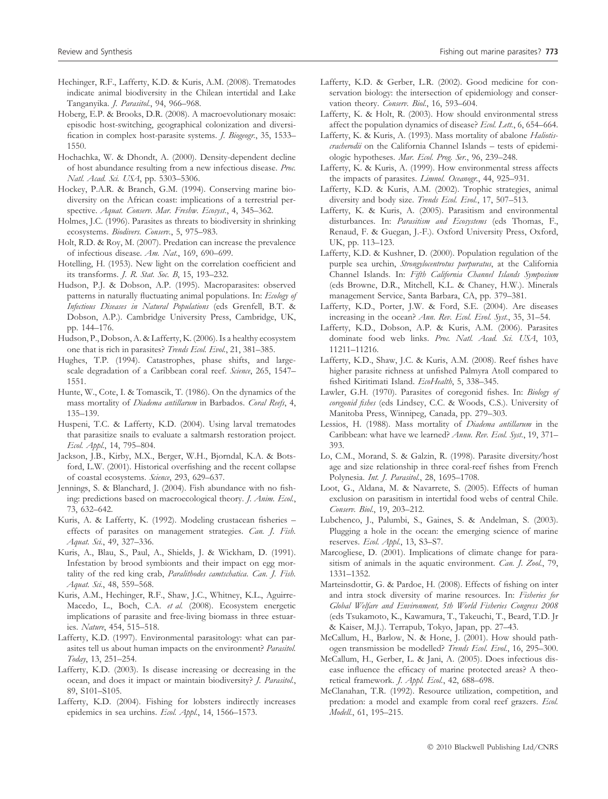- Hechinger, R.F., Lafferty, K.D. & Kuris, A.M. (2008). Trematodes indicate animal biodiversity in the Chilean intertidal and Lake Tanganyika. J. Parasitol., 94, 966–968.
- Hoberg, E.P. & Brooks, D.R. (2008). A macroevolutionary mosaic: episodic host-switching, geographical colonization and diversification in complex host-parasite systems. J. Biogeogr., 35, 1533– 1550.
- Hochachka, W. & Dhondt, A. (2000). Density-dependent decline of host abundance resulting from a new infectious disease. Proc. Natl. Acad. Sci. USA, pp. 5303-5306.
- Hockey, P.A.R. & Branch, G.M. (1994). Conserving marine biodiversity on the African coast: implications of a terrestrial perspective. Aquat. Conserv. Mar. Freshw. Ecosyst., 4, 345-362.
- Holmes, J.C. (1996). Parasites as threats to biodiversity in shrinking ecosystems. Biodivers. Conserv., 5, 975–983.
- Holt, R.D. & Roy, M. (2007). Predation can increase the prevalence of infectious disease. Am. Nat., 169, 690–699.
- Hotelling, H. (1953). New light on the correlation coefficient and its transforms. J. R. Stat. Soc. B, 15, 193–232.
- Hudson, P.J. & Dobson, A.P. (1995). Macroparasites: observed patterns in naturally fluctuating animal populations. In: Ecology of Infectious Diseases in Natural Populations (eds Grenfell, B.T. & Dobson, A.P.). Cambridge University Press, Cambridge, UK, pp. 144–176.
- Hudson, P., Dobson, A. & Lafferty, K. (2006). Is a healthy ecosystem one that is rich in parasites? Trends Ecol. Evol., 21, 381–385.
- Hughes, T.P. (1994). Catastrophes, phase shifts, and largescale degradation of a Caribbean coral reef. Science, 265, 1547-1551.
- Hunte, W., Cote, I. & Tomascik, T. (1986). On the dynamics of the mass mortality of Diadema antillarum in Barbados. Coral Reefs, 4, 135–139.
- Huspeni, T.C. & Lafferty, K.D. (2004). Using larval trematodes that parasitize snails to evaluate a saltmarsh restoration project. Ecol. Appl., 14, 795–804.
- Jackson, J.B., Kirby, M.X., Berger, W.H., Bjorndal, K.A. & Botsford, L.W. (2001). Historical overfishing and the recent collapse of coastal ecosystems. Science, 293, 629–637.
- Jennings, S. & Blanchard, J. (2004). Fish abundance with no fishing: predictions based on macroecological theory. J. Anim. Ecol., 73, 632–642.
- Kuris, A. & Lafferty, K. (1992). Modeling crustacean fisheries effects of parasites on management strategies. Can. J. Fish. Aquat. Sci., 49, 327–336.
- Kuris, A., Blau, S., Paul, A., Shields, J. & Wickham, D. (1991). Infestation by brood symbionts and their impact on egg mortality of the red king crab, Paralithodes camtschatica. Can. J. Fish. Aquat. Sci., 48, 559-568.
- Kuris, A.M., Hechinger, R.F., Shaw, J.C., Whitney, K.L., Aguirre-Macedo, L., Boch, C.A. et al. (2008). Ecosystem energetic implications of parasite and free-living biomass in three estuaries. Nature, 454, 515–518.
- Lafferty, K.D. (1997). Environmental parasitology: what can parasites tell us about human impacts on the environment? Parasitol. Today, 13, 251–254.
- Lafferty, K.D. (2003). Is disease increasing or decreasing in the ocean, and does it impact or maintain biodiversity? J. Parasitol., 89, S101–S105.
- Lafferty, K.D. (2004). Fishing for lobsters indirectly increases epidemics in sea urchins. Ecol. Appl., 14, 1566–1573.
- Lafferty, K.D. & Gerber, L.R. (2002). Good medicine for conservation biology: the intersection of epidemiology and conservation theory. Conserv. Biol., 16, 593-604.
- Lafferty, K. & Holt, R. (2003). How should environmental stress affect the population dynamics of disease? Ecol. Lett., 6, 654–664.
- Lafferty, K. & Kuris, A. (1993). Mass mortality of abalone Haliotiscracherodii on the California Channel Islands – tests of epidemiologic hypotheses. Mar. Ecol. Prog. Ser., 96, 239–248.
- Lafferty, K. & Kuris, A. (1999). How environmental stress affects the impacts of parasites. Limnol. Oceanogr., 44, 925-931.
- Lafferty, K.D. & Kuris, A.M. (2002). Trophic strategies, animal diversity and body size. Trends Ecol. Evol., 17, 507-513.
- Lafferty, K. & Kuris, A. (2005). Parasitism and environmental disturbances. In: Parasitism and Ecosystems (eds Thomas, F., Renaud, F. & Guegan, J.-F.). Oxford University Press, Oxford, UK, pp. 113–123.
- Lafferty, K.D. & Kushner, D. (2000). Population regulation of the purple sea urchin, *Strongylocentrotus purpuratus*, at the California Channel Islands. In: Fifth California Channel Islands Symposium (eds Browne, D.R., Mitchell, K.L. & Chaney, H.W.). Minerals management Service, Santa Barbara, CA, pp. 379–381.
- Lafferty, K.D., Porter, J.W. & Ford, S.E. (2004). Are diseases increasing in the ocean? Ann. Rev. Ecol. Evol. Syst., 35, 31–54.
- Lafferty, K.D., Dobson, A.P. & Kuris, A.M. (2006). Parasites dominate food web links. Proc. Natl. Acad. Sci. USA, 103, 11211–11216.
- Lafferty, K.D., Shaw, J.C. & Kuris, A.M. (2008). Reef fishes have higher parasite richness at unfished Palmyra Atoll compared to fished Kiritimati Island. EcoHealth, 5, 338-345.
- Lawler, G.H. (1970). Parasites of coregonid fishes. In: Biology of coregonid fishes (eds Lindsey, C.C. & Woods, C.S.). University of Manitoba Press, Winnipeg, Canada, pp. 279–303.
- Lessios, H. (1988). Mass mortality of *Diadema antillarum* in the Caribbean: what have we learned? Annu. Rev. Ecol. Syst., 19, 371-393.
- Lo, C.M., Morand, S. & Galzin, R. (1998). Parasite diversity/host age and size relationship in three coral-reef fishes from French Polynesia. Int. J. Parasitol., 28, 1695–1708.
- Loot, G., Aldana, M. & Navarrete, S. (2005). Effects of human exclusion on parasitism in intertidal food webs of central Chile. Conserv. Biol., 19, 203–212.
- Lubchenco, J., Palumbi, S., Gaines, S. & Andelman, S. (2003). Plugging a hole in the ocean: the emerging science of marine reserves. Ecol. Appl., 13, S3–S7.
- Marcogliese, D. (2001). Implications of climate change for parasitism of animals in the aquatic environment. Can. J. Zool., 79, 1331–1352.
- Marteinsdottir, G. & Pardoe, H. (2008). Effects of fishing on inter and intra stock diversity of marine resources. In: Fisheries for Global Welfare and Environment, 5th World Fisheries Congress 2008 (eds Tsukamoto, K., Kawamura, T., Takeuchi, T., Beard, T.D. Jr & Kaiser, M.J.). Terrapub, Tokyo, Japan, pp. 27–43.
- McCallum, H., Barlow, N. & Hone, J. (2001). How should pathogen transmission be modelled? Trends Ecol. Evol., 16, 295-300.
- McCallum, H., Gerber, L. & Jani, A. (2005). Does infectious disease influence the efficacy of marine protected areas? A theoretical framework. J. Appl. Ecol., 42, 688–698.
- McClanahan, T.R. (1992). Resource utilization, competition, and predation: a model and example from coral reef grazers. Ecol. Modell., 61, 195–215.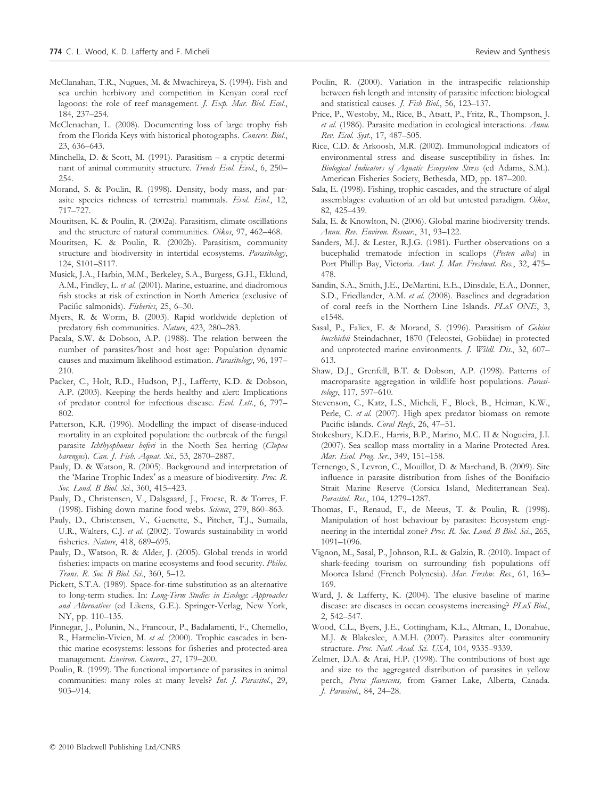- McClanahan, T.R., Nugues, M. & Mwachireya, S. (1994). Fish and sea urchin herbivory and competition in Kenyan coral reef lagoons: the role of reef management. *J. Exp. Mar. Biol. Ecol.*, 184, 237–254.
- McClenachan, L. (2008). Documenting loss of large trophy fish from the Florida Keys with historical photographs. Conserv. Biol., 23, 636–643.
- Minchella, D. & Scott, M. (1991). Parasitism a cryptic determinant of animal community structure. Trends Ecol. Evol., 6, 250– 254.
- Morand, S. & Poulin, R. (1998). Density, body mass, and parasite species richness of terrestrial mammals. Evol. Ecol., 12, 717–727.
- Mouritsen, K. & Poulin, R. (2002a). Parasitism, climate oscillations and the structure of natural communities. Oikos, 97, 462–468.
- Mouritsen, K. & Poulin, R. (2002b). Parasitism, community structure and biodiversity in intertidal ecosystems. Parasitology, 124, S101–S117.
- Musick, J.A., Harbin, M.M., Berkeley, S.A., Burgess, G.H., Eklund, A.M., Findley, L. et al. (2001). Marine, estuarine, and diadromous fish stocks at risk of extinction in North America (exclusive of Pacific salmonids). Fisheries, 25, 6–30.
- Myers, R. & Worm, B. (2003). Rapid worldwide depletion of predatory fish communities. Nature, 423, 280–283.
- Pacala, S.W. & Dobson, A.P. (1988). The relation between the number of parasites⁄ host and host age: Population dynamic causes and maximum likelihood estimation. Parasitology, 96, 197– 210.
- Packer, C., Holt, R.D., Hudson, P.J., Lafferty, K.D. & Dobson, A.P. (2003). Keeping the herds healthy and alert: Implications of predator control for infectious disease. Ecol. Lett., 6, 797– 802.
- Patterson, K.R. (1996). Modelling the impact of disease-induced mortality in an exploited population: the outbreak of the fungal parasite Ichthyophonus hoferi in the North Sea herring (Clupea harengus). Can. J. Fish. Aquat. Sci., 53, 2870–2887.
- Pauly, D. & Watson, R. (2005). Background and interpretation of the 'Marine Trophic Index' as a measure of biodiversity. Proc. R. Soc. Lond. B Biol. Sci., 360, 415-423.
- Pauly, D., Christensen, V., Dalsgaard, J., Froese, R. & Torres, F. (1998). Fishing down marine food webs. Science, 279, 860–863.
- Pauly, D., Christensen, V., Guenette, S., Pitcher, T.J., Sumaila, U.R., Walters, C.J. et al. (2002). Towards sustainability in world fisheries. Nature, 418, 689–695.
- Pauly, D., Watson, R. & Alder, J. (2005). Global trends in world fisheries: impacts on marine ecosystems and food security. Philos. Trans. R. Soc. B Biol. Sci., 360, 5–12.
- Pickett, S.T.A. (1989). Space-for-time substitution as an alternative to long-term studies. In: Long-Term Studies in Ecology: Approaches and Alternatives (ed Likens, G.E.). Springer-Verlag, New York, NY, pp. 110–135.
- Pinnegar, J., Polunin, N., Francour, P., Badalamenti, F., Chemello, R., Harmelin-Vivien, M. et al. (2000). Trophic cascades in benthic marine ecosystems: lessons for fisheries and protected-area management. Environ. Conserv., 27, 179–200.
- Poulin, R. (1999). The functional importance of parasites in animal communities: many roles at many levels? Int. J. Parasitol., 29, 903–914.
- Poulin, R. (2000). Variation in the intraspecific relationship between fish length and intensity of parasitic infection: biological and statistical causes. J. Fish Biol., 56, 123–137.
- Price, P., Westoby, M., Rice, B., Atsatt, P., Fritz, R., Thompson, J. et al. (1986). Parasite mediation in ecological interactions. Annu. Rev. Ecol. Syst., 17, 487–505.
- Rice, C.D. & Arkoosh, M.R. (2002). Immunological indicators of environmental stress and disease susceptibility in fishes. In: Biological Indicators of Aquatic Ecosystem Stress (ed Adams, S.M.). American Fisheries Society, Bethesda, MD, pp. 187–200.
- Sala, E. (1998). Fishing, trophic cascades, and the structure of algal assemblages: evaluation of an old but untested paradigm. Oikos, 82, 425–439.
- Sala, E. & Knowlton, N. (2006). Global marine biodiversity trends. Annu. Rev. Environ. Resour., 31, 93–122.
- Sanders, M.J. & Lester, R.J.G. (1981). Further observations on a bucephalid trematode infection in scallops (Pecten alba) in Port Phillip Bay, Victoria. Aust. J. Mar. Freshwat. Res., 32, 475– 478.
- Sandin, S.A., Smith, J.E., DeMartini, E.E., Dinsdale, E.A., Donner, S.D., Friedlander, A.M. et al. (2008). Baselines and degradation of coral reefs in the Northern Line Islands. PLoS ONE, 3, e1548.
- Sasal, P., Faliex, E. & Morand, S. (1996). Parasitism of Gobius bucchichii Steindachner, 1870 (Teleostei, Gobiidae) in protected and unprotected marine environments. J. Wildl. Dis., 32, 607– 613.
- Shaw, D.J., Grenfell, B.T. & Dobson, A.P. (1998). Patterns of macroparasite aggregation in wildlife host populations. Parasitology, 117, 597–610.
- Stevenson, C., Katz, L.S., Micheli, F., Block, B., Heiman, K.W., Perle, C. et al. (2007). High apex predator biomass on remote Pacific islands. Coral Reefs, 26, 47–51.
- Stokesbury, K.D.E., Harris, B.P., Marino, M.C. II & Nogueira, J.I. (2007). Sea scallop mass mortality in a Marine Protected Area. Mar. Ecol. Prog. Ser., 349, 151–158.
- Ternengo, S., Levron, C., Mouillot, D. & Marchand, B. (2009). Site influence in parasite distribution from fishes of the Bonifacio Strait Marine Reserve (Corsica Island, Mediterranean Sea). Parasitol. Res., 104, 1279–1287.
- Thomas, F., Renaud, F., de Meeus, T. & Poulin, R. (1998). Manipulation of host behaviour by parasites: Ecosystem engineering in the intertidal zone? Proc. R. Soc. Lond. B Biol. Sci., 265, 1091–1096.
- Vignon, M., Sasal, P., Johnson, R.L. & Galzin, R. (2010). Impact of shark-feeding tourism on surrounding fish populations off Moorea Island (French Polynesia). Mar. Freshw. Res., 61, 163– 169.
- Ward, J. & Lafferty, K. (2004). The elusive baseline of marine disease: are diseases in ocean ecosystems increasing? PLoS Biol., 2, 542–547.
- Wood, C.L., Byers, J.E., Cottingham, K.L., Altman, I., Donahue, M.J. & Blakeslee, A.M.H. (2007). Parasites alter community structure. Proc. Natl. Acad. Sci. USA, 104, 9335-9339.
- Zelmer, D.A. & Arai, H.P. (1998). The contributions of host age and size to the aggregated distribution of parasites in yellow perch, Perca flavescens, from Garner Lake, Alberta, Canada. J. Parasitol., 84, 24–28.